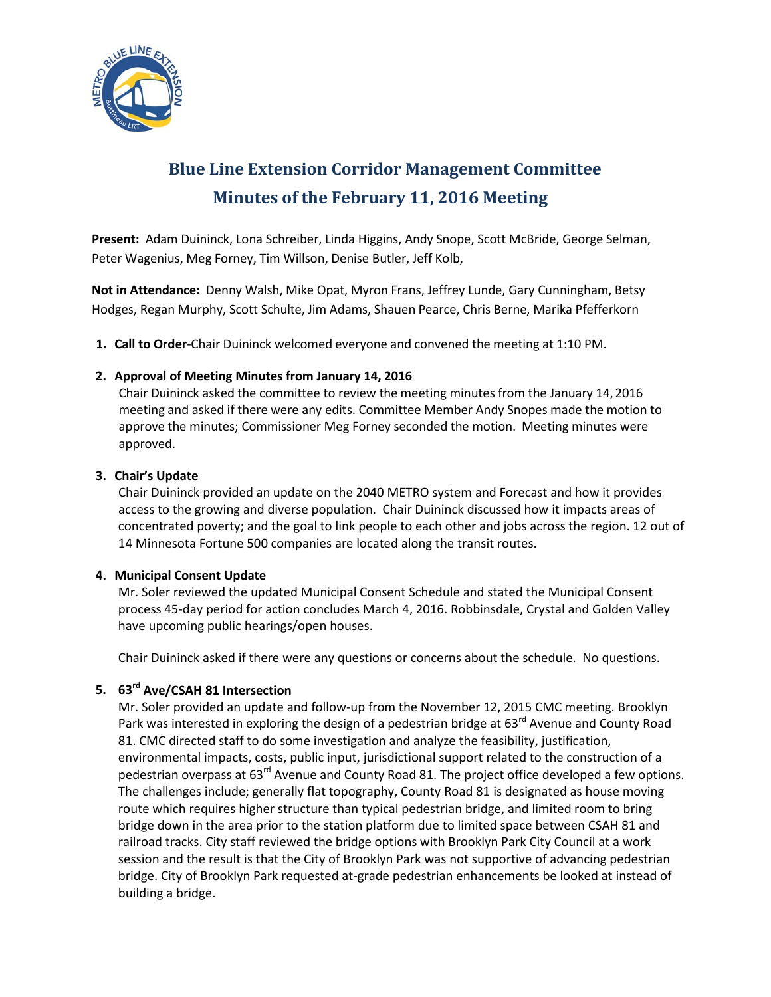

# **Blue Line Extension Corridor Management Committee Minutes of the February 11, 2016 Meeting**

**Present:** Adam Duininck, Lona Schreiber, Linda Higgins, Andy Snope, Scott McBride, George Selman, Peter Wagenius, Meg Forney, Tim Willson, Denise Butler, Jeff Kolb,

**Not in Attendance:** Denny Walsh, Mike Opat, Myron Frans, Jeffrey Lunde, Gary Cunningham, Betsy Hodges, Regan Murphy, Scott Schulte, Jim Adams, Shauen Pearce, Chris Berne, Marika Pfefferkorn

**1. Call to Order**-Chair Duininck welcomed everyone and convened the meeting at 1:10 PM.

## **2. Approval of Meeting Minutes from January 14, 2016**

Chair Duininck asked the committee to review the meeting minutes from the January 14, 2016 meeting and asked if there were any edits. Committee Member Andy Snopes made the motion to approve the minutes; Commissioner Meg Forney seconded the motion. Meeting minutes were approved.

## **3. Chair's Update**

Chair Duininck provided an update on the 2040 METRO system and Forecast and how it provides access to the growing and diverse population. Chair Duininck discussed how it impacts areas of concentrated poverty; and the goal to link people to each other and jobs across the region. 12 out of 14 Minnesota Fortune 500 companies are located along the transit routes.

### **4. Municipal Consent Update**

Mr. Soler reviewed the updated Municipal Consent Schedule and stated the Municipal Consent process 45-day period for action concludes March 4, 2016. Robbinsdale, Crystal and Golden Valley have upcoming public hearings/open houses.

Chair Duininck asked if there were any questions or concerns about the schedule. No questions.

# **5. 63rd Ave/CSAH 81 Intersection**

Mr. Soler provided an update and follow-up from the November 12, 2015 CMC meeting. Brooklyn Park was interested in exploring the design of a pedestrian bridge at 63<sup>rd</sup> Avenue and County Road 81. CMC directed staff to do some investigation and analyze the feasibility, justification, environmental impacts, costs, public input, jurisdictional support related to the construction of a pedestrian overpass at 63<sup>rd</sup> Avenue and County Road 81. The project office developed a few options. The challenges include; generally flat topography, County Road 81 is designated as house moving route which requires higher structure than typical pedestrian bridge, and limited room to bring bridge down in the area prior to the station platform due to limited space between CSAH 81 and railroad tracks. City staff reviewed the bridge options with Brooklyn Park City Council at a work session and the result is that the City of Brooklyn Park was not supportive of advancing pedestrian bridge. City of Brooklyn Park requested at-grade pedestrian enhancements be looked at instead of building a bridge.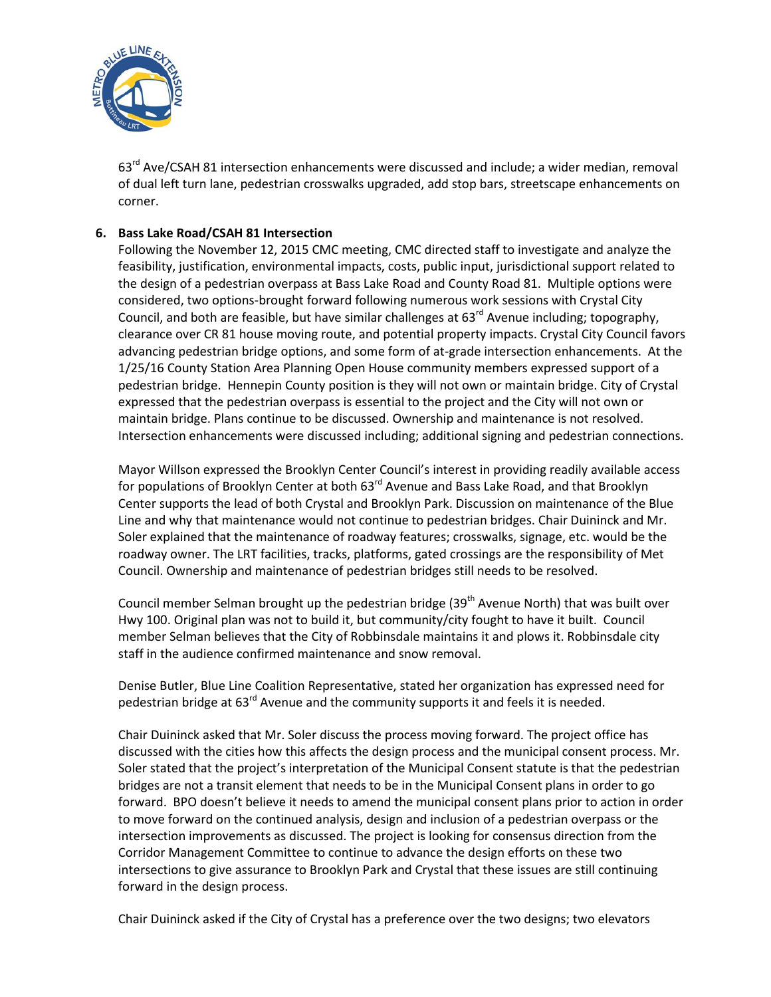

63<sup>rd</sup> Ave/CSAH 81 intersection enhancements were discussed and include; a wider median, removal of dual left turn lane, pedestrian crosswalks upgraded, add stop bars, streetscape enhancements on corner.

## **6. Bass Lake Road/CSAH 81 Intersection**

Following the November 12, 2015 CMC meeting, CMC directed staff to investigate and analyze the feasibility, justification, environmental impacts, costs, public input, jurisdictional support related to the design of a pedestrian overpass at Bass Lake Road and County Road 81. Multiple options were considered, two options-brought forward following numerous work sessions with Crystal City Council, and both are feasible, but have similar challenges at  $63<sup>rd</sup>$  Avenue including; topography, clearance over CR 81 house moving route, and potential property impacts. Crystal City Council favors advancing pedestrian bridge options, and some form of at-grade intersection enhancements. At the 1/25/16 County Station Area Planning Open House community members expressed support of a pedestrian bridge. Hennepin County position is they will not own or maintain bridge. City of Crystal expressed that the pedestrian overpass is essential to the project and the City will not own or maintain bridge. Plans continue to be discussed. Ownership and maintenance is not resolved. Intersection enhancements were discussed including; additional signing and pedestrian connections.

Mayor Willson expressed the Brooklyn Center Council's interest in providing readily available access for populations of Brooklyn Center at both 63<sup>rd</sup> Avenue and Bass Lake Road, and that Brooklyn Center supports the lead of both Crystal and Brooklyn Park. Discussion on maintenance of the Blue Line and why that maintenance would not continue to pedestrian bridges. Chair Duininck and Mr. Soler explained that the maintenance of roadway features; crosswalks, signage, etc. would be the roadway owner. The LRT facilities, tracks, platforms, gated crossings are the responsibility of Met Council. Ownership and maintenance of pedestrian bridges still needs to be resolved.

Council member Selman brought up the pedestrian bridge (39<sup>th</sup> Avenue North) that was built over Hwy 100. Original plan was not to build it, but community/city fought to have it built. Council member Selman believes that the City of Robbinsdale maintains it and plows it. Robbinsdale city staff in the audience confirmed maintenance and snow removal.

Denise Butler, Blue Line Coalition Representative, stated her organization has expressed need for pedestrian bridge at 63<sup>rd</sup> Avenue and the community supports it and feels it is needed.

Chair Duininck asked that Mr. Soler discuss the process moving forward. The project office has discussed with the cities how this affects the design process and the municipal consent process. Mr. Soler stated that the project's interpretation of the Municipal Consent statute is that the pedestrian bridges are not a transit element that needs to be in the Municipal Consent plans in order to go forward. BPO doesn't believe it needs to amend the municipal consent plans prior to action in order to move forward on the continued analysis, design and inclusion of a pedestrian overpass or the intersection improvements as discussed. The project is looking for consensus direction from the Corridor Management Committee to continue to advance the design efforts on these two intersections to give assurance to Brooklyn Park and Crystal that these issues are still continuing forward in the design process.

Chair Duininck asked if the City of Crystal has a preference over the two designs; two elevators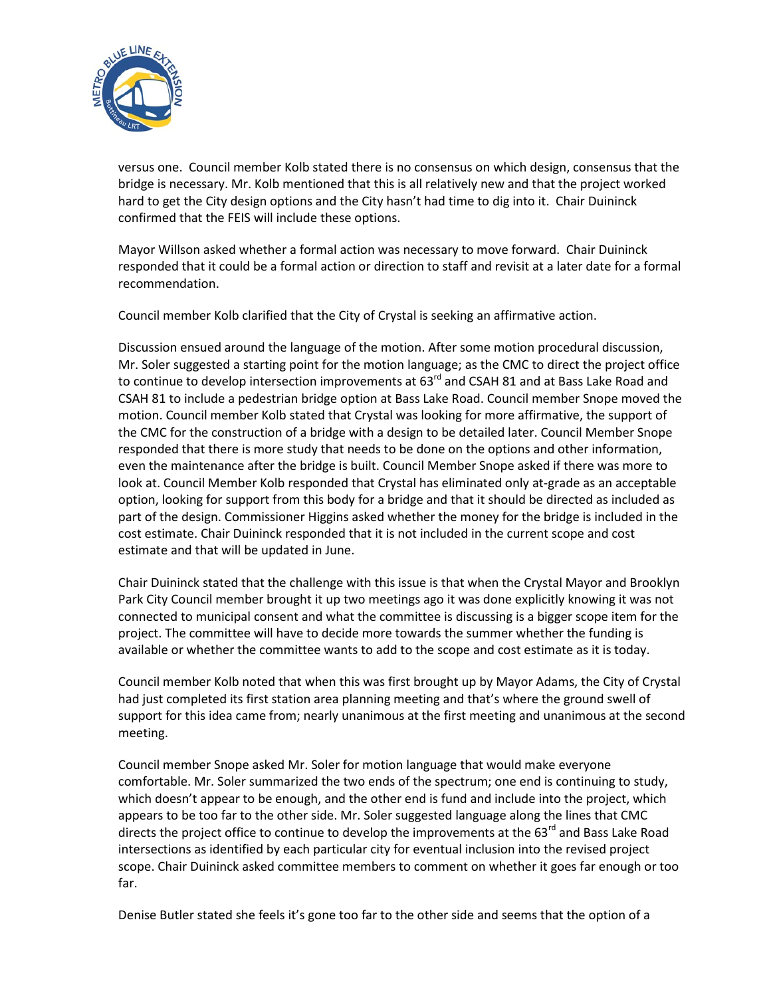

versus one. Council member Kolb stated there is no consensus on which design, consensus that the bridge is necessary. Mr. Kolb mentioned that this is all relatively new and that the project worked hard to get the City design options and the City hasn't had time to dig into it. Chair Duininck confirmed that the FEIS will include these options.

Mayor Willson asked whether a formal action was necessary to move forward. Chair Duininck responded that it could be a formal action or direction to staff and revisit at a later date for a formal recommendation.

Council member Kolb clarified that the City of Crystal is seeking an affirmative action.

Discussion ensued around the language of the motion. After some motion procedural discussion, Mr. Soler suggested a starting point for the motion language; as the CMC to direct the project office to continue to develop intersection improvements at 63<sup>rd</sup> and CSAH 81 and at Bass Lake Road and CSAH 81 to include a pedestrian bridge option at Bass Lake Road. Council member Snope moved the motion. Council member Kolb stated that Crystal was looking for more affirmative, the support of the CMC for the construction of a bridge with a design to be detailed later. Council Member Snope responded that there is more study that needs to be done on the options and other information, even the maintenance after the bridge is built. Council Member Snope asked if there was more to look at. Council Member Kolb responded that Crystal has eliminated only at-grade as an acceptable option, looking for support from this body for a bridge and that it should be directed as included as part of the design. Commissioner Higgins asked whether the money for the bridge is included in the cost estimate. Chair Duininck responded that it is not included in the current scope and cost estimate and that will be updated in June.

Chair Duininck stated that the challenge with this issue is that when the Crystal Mayor and Brooklyn Park City Council member brought it up two meetings ago it was done explicitly knowing it was not connected to municipal consent and what the committee is discussing is a bigger scope item for the project. The committee will have to decide more towards the summer whether the funding is available or whether the committee wants to add to the scope and cost estimate as it is today.

Council member Kolb noted that when this was first brought up by Mayor Adams, the City of Crystal had just completed its first station area planning meeting and that's where the ground swell of support for this idea came from; nearly unanimous at the first meeting and unanimous at the second meeting.

Council member Snope asked Mr. Soler for motion language that would make everyone comfortable. Mr. Soler summarized the two ends of the spectrum; one end is continuing to study, which doesn't appear to be enough, and the other end is fund and include into the project, which appears to be too far to the other side. Mr. Soler suggested language along the lines that CMC directs the project office to continue to develop the improvements at the 63<sup>rd</sup> and Bass Lake Road intersections as identified by each particular city for eventual inclusion into the revised project scope. Chair Duininck asked committee members to comment on whether it goes far enough or too far.

Denise Butler stated she feels it's gone too far to the other side and seems that the option of a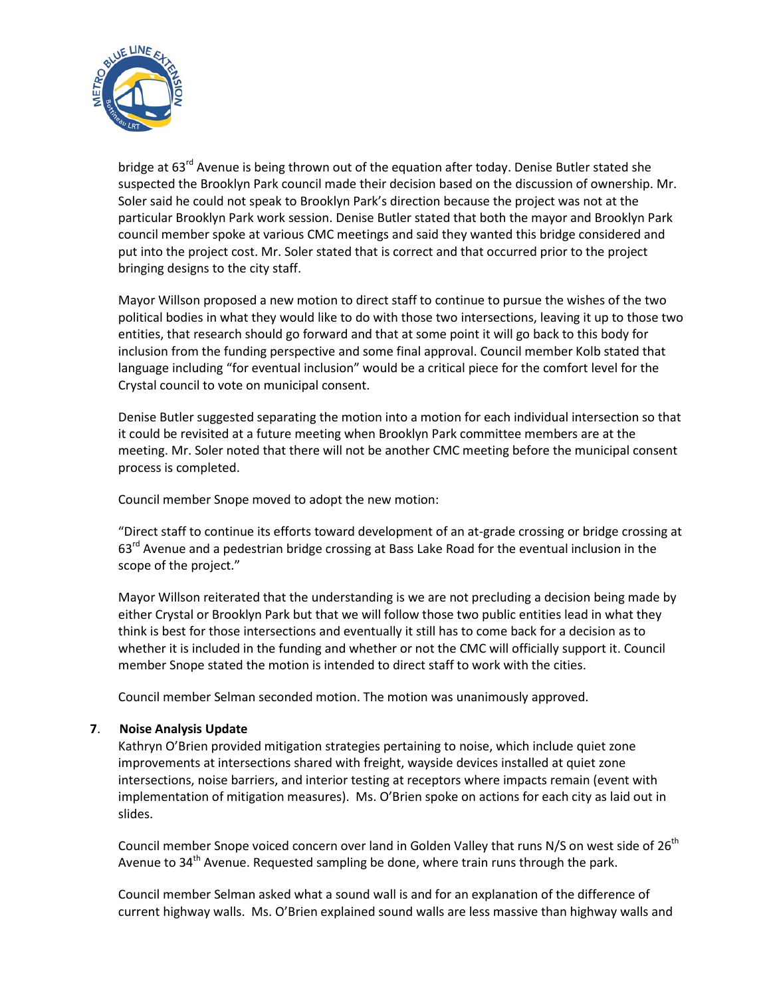

bridge at 63<sup>rd</sup> Avenue is being thrown out of the equation after today. Denise Butler stated she suspected the Brooklyn Park council made their decision based on the discussion of ownership. Mr. Soler said he could not speak to Brooklyn Park's direction because the project was not at the particular Brooklyn Park work session. Denise Butler stated that both the mayor and Brooklyn Park council member spoke at various CMC meetings and said they wanted this bridge considered and put into the project cost. Mr. Soler stated that is correct and that occurred prior to the project bringing designs to the city staff.

Mayor Willson proposed a new motion to direct staff to continue to pursue the wishes of the two political bodies in what they would like to do with those two intersections, leaving it up to those two entities, that research should go forward and that at some point it will go back to this body for inclusion from the funding perspective and some final approval. Council member Kolb stated that language including "for eventual inclusion" would be a critical piece for the comfort level for the Crystal council to vote on municipal consent.

Denise Butler suggested separating the motion into a motion for each individual intersection so that it could be revisited at a future meeting when Brooklyn Park committee members are at the meeting. Mr. Soler noted that there will not be another CMC meeting before the municipal consent process is completed.

Council member Snope moved to adopt the new motion:

"Direct staff to continue its efforts toward development of an at-grade crossing or bridge crossing at  $63<sup>rd</sup>$  Avenue and a pedestrian bridge crossing at Bass Lake Road for the eventual inclusion in the scope of the project."

Mayor Willson reiterated that the understanding is we are not precluding a decision being made by either Crystal or Brooklyn Park but that we will follow those two public entities lead in what they think is best for those intersections and eventually it still has to come back for a decision as to whether it is included in the funding and whether or not the CMC will officially support it. Council member Snope stated the motion is intended to direct staff to work with the cities.

Council member Selman seconded motion. The motion was unanimously approved.

## **7**. **Noise Analysis Update**

Kathryn O'Brien provided mitigation strategies pertaining to noise, which include quiet zone improvements at intersections shared with freight, wayside devices installed at quiet zone intersections, noise barriers, and interior testing at receptors where impacts remain (event with implementation of mitigation measures). Ms. O'Brien spoke on actions for each city as laid out in slides.

Council member Snope voiced concern over land in Golden Valley that runs N/S on west side of 26<sup>th</sup> Avenue to  $34<sup>th</sup>$  Avenue. Requested sampling be done, where train runs through the park.

Council member Selman asked what a sound wall is and for an explanation of the difference of current highway walls. Ms. O'Brien explained sound walls are less massive than highway walls and